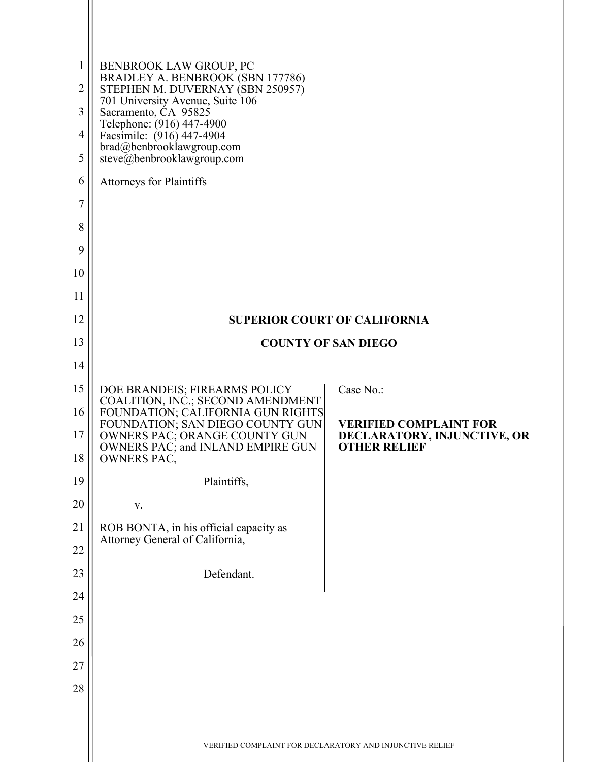| 1<br>$\overline{2}$<br>3<br>$\overline{4}$<br>5<br>6<br>$\overline{7}$<br>8<br>9<br>10<br>11<br>12 | <b>BENBROOK LAW GROUP, PC</b><br>BRADLEY A. BENBROOK (SBN 177786)<br>STEPHEN M. DUVERNAY (SBN 250957)<br>701 University Avenue, Suite 106<br>Sacramento, CA 95825<br>Telephone: (916) 447-4900<br>Facsimile: (916) 447-4904<br>brad@benbrooklawgroup.com<br>steve@benbrooklawgroup.com<br><b>Attorneys for Plaintiffs</b> | <b>SUPERIOR COURT OF CALIFORNIA</b>                                                 |
|----------------------------------------------------------------------------------------------------|---------------------------------------------------------------------------------------------------------------------------------------------------------------------------------------------------------------------------------------------------------------------------------------------------------------------------|-------------------------------------------------------------------------------------|
| 13                                                                                                 |                                                                                                                                                                                                                                                                                                                           | <b>COUNTY OF SAN DIEGO</b>                                                          |
| 14                                                                                                 |                                                                                                                                                                                                                                                                                                                           |                                                                                     |
| 15                                                                                                 | DOE BRANDEIS; FIREARMS POLICY                                                                                                                                                                                                                                                                                             | Case No.:                                                                           |
| 16                                                                                                 | COALITION, INC.; SECOND AMENDMENT<br>FOUNDATION; CALIFORNIA GUN RIGHTS                                                                                                                                                                                                                                                    |                                                                                     |
| 17<br>18                                                                                           | FOUNDATION; SAN DIEGO COUNTY GUN<br>OWNERS PAC; ORANGE COUNTY GUN<br>OWNERS PAC; and INLAND EMPIRE GUN<br><b>OWNERS PAC,</b>                                                                                                                                                                                              | <b>VERIFIED COMPLAINT FOR</b><br>DECLARATORY, INJUNCTIVE, OR<br><b>OTHER RELIEF</b> |
| 19                                                                                                 | Plaintiffs,                                                                                                                                                                                                                                                                                                               |                                                                                     |
| 20                                                                                                 | $\mathbf{V}$ .                                                                                                                                                                                                                                                                                                            |                                                                                     |
| 21                                                                                                 | ROB BONTA, in his official capacity as                                                                                                                                                                                                                                                                                    |                                                                                     |
| 22                                                                                                 | Attorney General of California,                                                                                                                                                                                                                                                                                           |                                                                                     |
| 23                                                                                                 | Defendant.                                                                                                                                                                                                                                                                                                                |                                                                                     |
| 24                                                                                                 |                                                                                                                                                                                                                                                                                                                           |                                                                                     |
| 25                                                                                                 |                                                                                                                                                                                                                                                                                                                           |                                                                                     |
| 26                                                                                                 |                                                                                                                                                                                                                                                                                                                           |                                                                                     |
| 27                                                                                                 |                                                                                                                                                                                                                                                                                                                           |                                                                                     |
| 28                                                                                                 |                                                                                                                                                                                                                                                                                                                           |                                                                                     |
|                                                                                                    |                                                                                                                                                                                                                                                                                                                           |                                                                                     |
|                                                                                                    |                                                                                                                                                                                                                                                                                                                           | VERIFIED COMPLAINT FOR DECLARATORY AND INJUNCTIVE RELIEF                            |
|                                                                                                    |                                                                                                                                                                                                                                                                                                                           |                                                                                     |

 $\mathop{||}$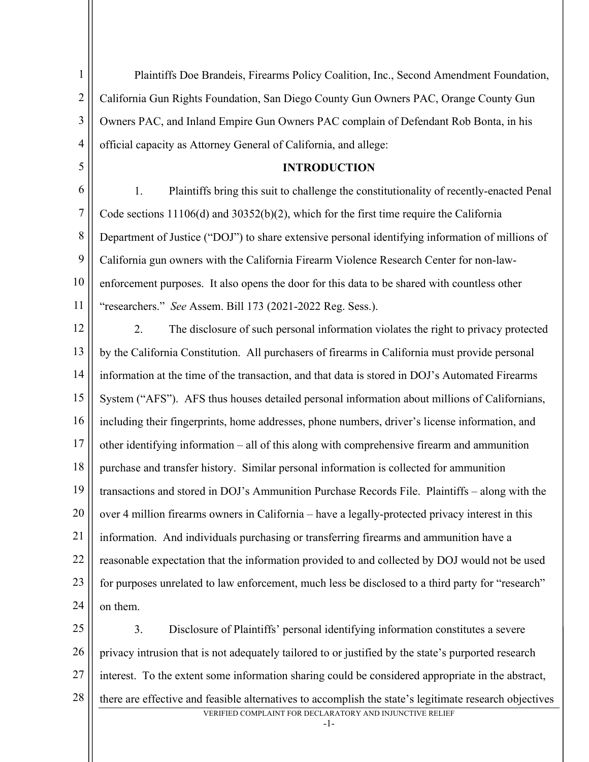1 2 3 4 5 6 7 8 9 10 11 12 13 14 15 16 17 18 19 20 21 22 23 24 25 26 Plaintiffs Doe Brandeis, Firearms Policy Coalition, Inc., Second Amendment Foundation, California Gun Rights Foundation, San Diego County Gun Owners PAC, Orange County Gun Owners PAC, and Inland Empire Gun Owners PAC complain of Defendant Rob Bonta, in his official capacity as Attorney General of California, and allege: **INTRODUCTION** 1. Plaintiffs bring this suit to challenge the constitutionality of recently-enacted Penal Code sections 11106(d) and 30352(b)(2), which for the first time require the California Department of Justice ("DOJ") to share extensive personal identifying information of millions of California gun owners with the California Firearm Violence Research Center for non-lawenforcement purposes. It also opens the door for this data to be shared with countless other "researchers." *See* Assem. Bill 173 (2021-2022 Reg. Sess.). 2. The disclosure of such personal information violates the right to privacy protected by the California Constitution. All purchasers of firearms in California must provide personal information at the time of the transaction, and that data is stored in DOJ's Automated Firearms System ("AFS"). AFS thus houses detailed personal information about millions of Californians, including their fingerprints, home addresses, phone numbers, driver's license information, and other identifying information – all of this along with comprehensive firearm and ammunition purchase and transfer history. Similar personal information is collected for ammunition transactions and stored in DOJ's Ammunition Purchase Records File. Plaintiffs – along with the over 4 million firearms owners in California – have a legally-protected privacy interest in this information. And individuals purchasing or transferring firearms and ammunition have a reasonable expectation that the information provided to and collected by DOJ would not be used for purposes unrelated to law enforcement, much less be disclosed to a third party for "research" on them. 3. Disclosure of Plaintiffs' personal identifying information constitutes a severe privacy intrusion that is not adequately tailored to or justified by the state's purported research

27 interest. To the extent some information sharing could be considered appropriate in the abstract,

VERIFIED COMPLAINT FOR DECLARATORY AND INJUNCTIVE RELIEF 28 there are effective and feasible alternatives to accomplish the state's legitimate research objectives

-1-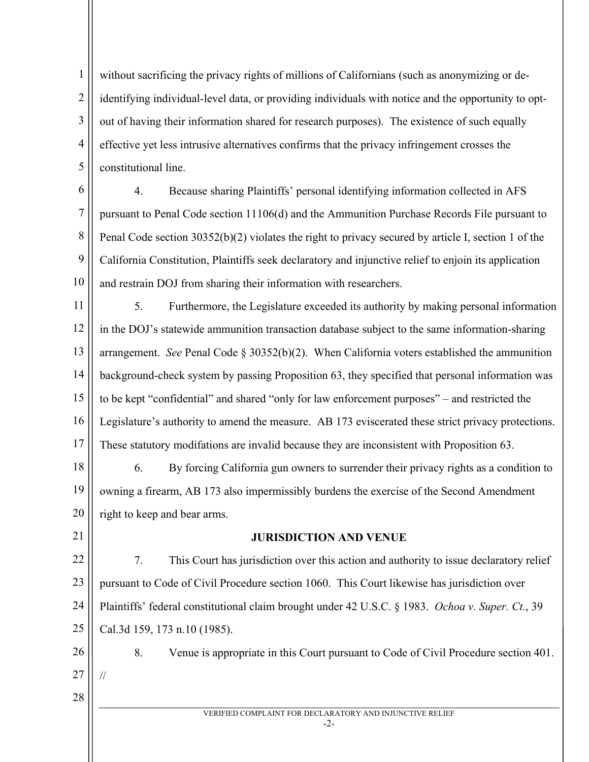1 2 3 4 5 without sacrificing the privacy rights of millions of Californians (such as anonymizing or deidentifying individual-level data, or providing individuals with notice and the opportunity to optout of having their information shared for research purposes). The existence of such equally effective yet less intrusive alternatives confirms that the privacy infringement crosses the constitutional line.

6

7 8 9 10 4. Because sharing Plaintiffs' personal identifying information collected in AFS pursuant to Penal Code section 11106(d) and the Ammunition Purchase Records File pursuant to Penal Code section 30352(b)(2) violates the right to privacy secured by article I, section 1 of the California Constitution, Plaintiffs seek declaratory and injunctive relief to enjoin its application and restrain DOJ from sharing their information with researchers.

11 12 13 14 15 16 17 5. Furthermore, the Legislature exceeded its authority by making personal information in the DOJ's statewide ammunition transaction database subject to the same information-sharing arrangement. *See* Penal Code § 30352(b)(2). When California voters established the ammunition background-check system by passing Proposition 63, they specified that personal information was to be kept "confidential" and shared "only for law enforcement purposes" – and restricted the Legislature's authority to amend the measure. AB 173 eviscerated these strict privacy protections. These statutory modifations are invalid because they are inconsistent with Proposition 63.

18 19 20 6. By forcing California gun owners to surrender their privacy rights as a condition to owning a firearm, AB 173 also impermissibly burdens the exercise of the Second Amendment right to keep and bear arms.

21

## **JURISDICTION AND VENUE**

22 23 24 25 7. This Court has jurisdiction over this action and authority to issue declaratory relief pursuant to Code of Civil Procedure section 1060. This Court likewise has jurisdiction over Plaintiffs' federal constitutional claim brought under 42 U.S.C. § 1983. *Ochoa v. Super. Ct.*, 39 Cal.3d 159, 173 n.10 (1985).

26

27 28

//

VERIFIED COMPLAINT FOR DECLARATORY AND INJUNCTIVE RELIEF

8. Venue is appropriate in this Court pursuant to Code of Civil Procedure section 401.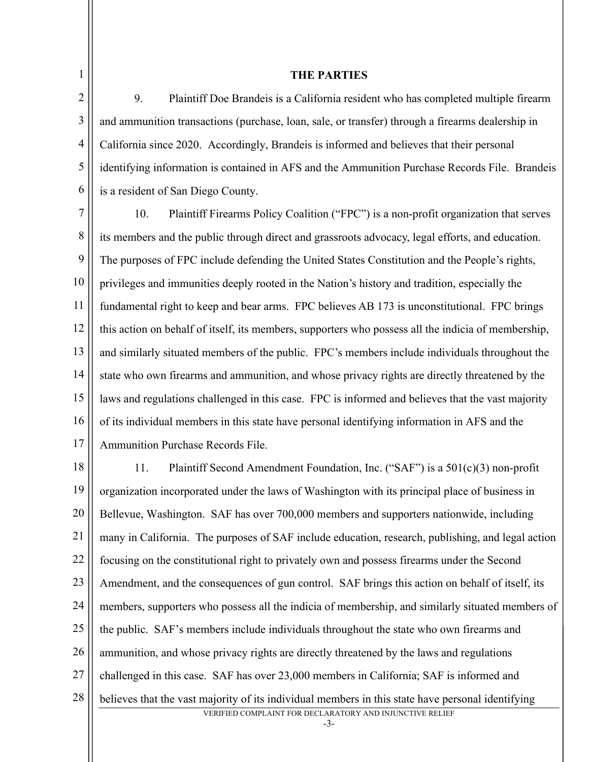3

4

5

6

### **THE PARTIES**

9. Plaintiff Doe Brandeis is a California resident who has completed multiple firearm and ammunition transactions (purchase, loan, sale, or transfer) through a firearms dealership in California since 2020. Accordingly, Brandeis is informed and believes that their personal identifying information is contained in AFS and the Ammunition Purchase Records File. Brandeis is a resident of San Diego County.

7 8 9 10 11 12 13 14 15 16 17 10. Plaintiff Firearms Policy Coalition ("FPC") is a non-profit organization that serves its members and the public through direct and grassroots advocacy, legal efforts, and education. The purposes of FPC include defending the United States Constitution and the People's rights, privileges and immunities deeply rooted in the Nation's history and tradition, especially the fundamental right to keep and bear arms. FPC believes AB 173 is unconstitutional. FPC brings this action on behalf of itself, its members, supporters who possess all the indicia of membership, and similarly situated members of the public. FPC's members include individuals throughout the state who own firearms and ammunition, and whose privacy rights are directly threatened by the laws and regulations challenged in this case. FPC is informed and believes that the vast majority of its individual members in this state have personal identifying information in AFS and the Ammunition Purchase Records File.

VERIFIED COMPLAINT FOR DECLARATORY AND INJUNCTIVE RELIEF 18 19 20 21 22 23 24 25 26 27 28 11. Plaintiff Second Amendment Foundation, Inc. ("SAF") is a 501(c)(3) non-profit organization incorporated under the laws of Washington with its principal place of business in Bellevue, Washington. SAF has over 700,000 members and supporters nationwide, including many in California. The purposes of SAF include education, research, publishing, and legal action focusing on the constitutional right to privately own and possess firearms under the Second Amendment, and the consequences of gun control. SAF brings this action on behalf of itself, its members, supporters who possess all the indicia of membership, and similarly situated members of the public. SAF's members include individuals throughout the state who own firearms and ammunition, and whose privacy rights are directly threatened by the laws and regulations challenged in this case. SAF has over 23,000 members in California; SAF is informed and believes that the vast majority of its individual members in this state have personal identifying

-3-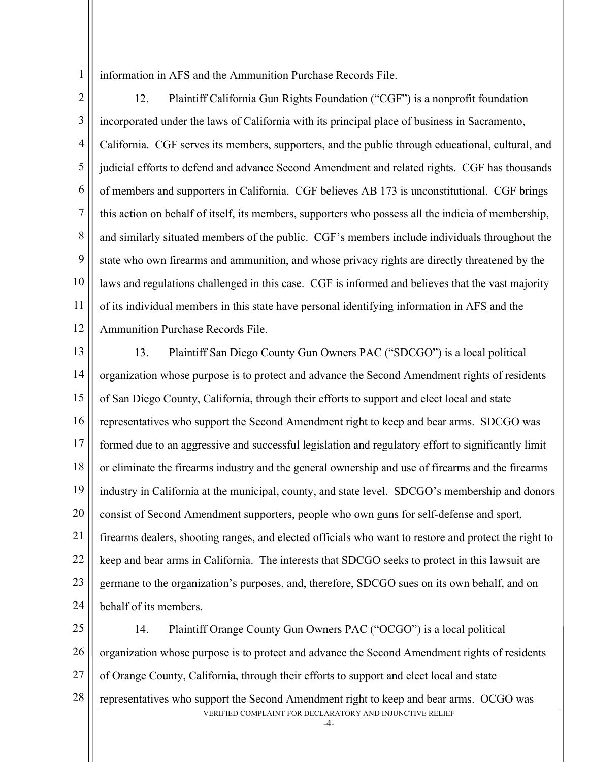information in AFS and the Ammunition Purchase Records File.

2 3 4 5 6 7 8 9 10 11 12 12. Plaintiff California Gun Rights Foundation ("CGF") is a nonprofit foundation incorporated under the laws of California with its principal place of business in Sacramento, California. CGF serves its members, supporters, and the public through educational, cultural, and judicial efforts to defend and advance Second Amendment and related rights. CGF has thousands of members and supporters in California. CGF believes AB 173 is unconstitutional. CGF brings this action on behalf of itself, its members, supporters who possess all the indicia of membership, and similarly situated members of the public. CGF's members include individuals throughout the state who own firearms and ammunition, and whose privacy rights are directly threatened by the laws and regulations challenged in this case. CGF is informed and believes that the vast majority of its individual members in this state have personal identifying information in AFS and the Ammunition Purchase Records File.

13 14 15 16 17 18 19 20 21 22 23 24 13. Plaintiff San Diego County Gun Owners PAC ("SDCGO") is a local political organization whose purpose is to protect and advance the Second Amendment rights of residents of San Diego County, California, through their efforts to support and elect local and state representatives who support the Second Amendment right to keep and bear arms. SDCGO was formed due to an aggressive and successful legislation and regulatory effort to significantly limit or eliminate the firearms industry and the general ownership and use of firearms and the firearms industry in California at the municipal, county, and state level. SDCGO's membership and donors consist of Second Amendment supporters, people who own guns for self-defense and sport, firearms dealers, shooting ranges, and elected officials who want to restore and protect the right to keep and bear arms in California. The interests that SDCGO seeks to protect in this lawsuit are germane to the organization's purposes, and, therefore, SDCGO sues on its own behalf, and on behalf of its members.

25 26 27 28 14. Plaintiff Orange County Gun Owners PAC ("OCGO") is a local political organization whose purpose is to protect and advance the Second Amendment rights of residents of Orange County, California, through their efforts to support and elect local and state representatives who support the Second Amendment right to keep and bear arms. OCGO was

VERIFIED COMPLAINT FOR DECLARATORY AND INJUNCTIVE RELIEF

 $-4-$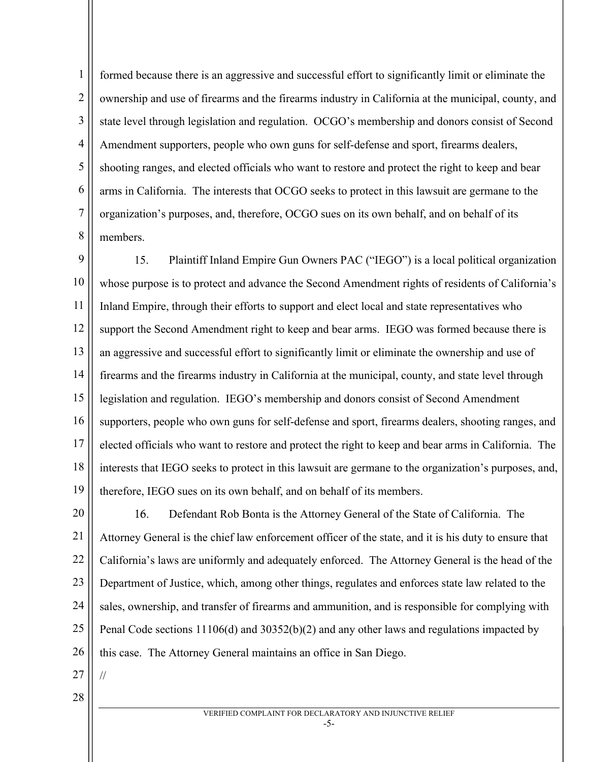1 2 3 4 5 6 7 8 formed because there is an aggressive and successful effort to significantly limit or eliminate the ownership and use of firearms and the firearms industry in California at the municipal, county, and state level through legislation and regulation. OCGO's membership and donors consist of Second Amendment supporters, people who own guns for self-defense and sport, firearms dealers, shooting ranges, and elected officials who want to restore and protect the right to keep and bear arms in California. The interests that OCGO seeks to protect in this lawsuit are germane to the organization's purposes, and, therefore, OCGO sues on its own behalf, and on behalf of its members.

9 10 11 12 13 14 15 16 17 18 19 15. Plaintiff Inland Empire Gun Owners PAC ("IEGO") is a local political organization whose purpose is to protect and advance the Second Amendment rights of residents of California's Inland Empire, through their efforts to support and elect local and state representatives who support the Second Amendment right to keep and bear arms. IEGO was formed because there is an aggressive and successful effort to significantly limit or eliminate the ownership and use of firearms and the firearms industry in California at the municipal, county, and state level through legislation and regulation. IEGO's membership and donors consist of Second Amendment supporters, people who own guns for self-defense and sport, firearms dealers, shooting ranges, and elected officials who want to restore and protect the right to keep and bear arms in California. The interests that IEGO seeks to protect in this lawsuit are germane to the organization's purposes, and, therefore, IEGO sues on its own behalf, and on behalf of its members.

20 21 22 23 24 25 26 16. Defendant Rob Bonta is the Attorney General of the State of California. The Attorney General is the chief law enforcement officer of the state, and it is his duty to ensure that California's laws are uniformly and adequately enforced. The Attorney General is the head of the Department of Justice, which, among other things, regulates and enforces state law related to the sales, ownership, and transfer of firearms and ammunition, and is responsible for complying with Penal Code sections 11106(d) and 30352(b)(2) and any other laws and regulations impacted by this case. The Attorney General maintains an office in San Diego.

27

//

28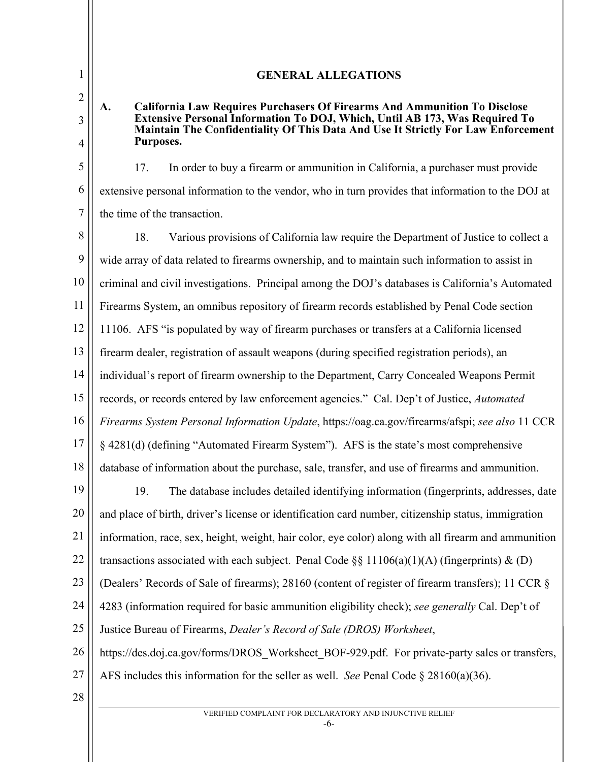# **A. California Law Requires Purchasers Of Firearms And Ammunition To Disclose Extensive Personal Information To DOJ, Which, Until AB 173, Was Required To Maintain The Confidentiality Of This Data And Use It Strictly For Law Enforcement Purposes.**

**GENERAL ALLEGATIONS**

17. In order to buy a firearm or ammunition in California, a purchaser must provide extensive personal information to the vendor, who in turn provides that information to the DOJ at the time of the transaction.

8 9 10 11 12 13 14 15 16 17 18 19 20 21 22 23 24 25 18. Various provisions of California law require the Department of Justice to collect a wide array of data related to firearms ownership, and to maintain such information to assist in criminal and civil investigations. Principal among the DOJ's databases is California's Automated Firearms System, an omnibus repository of firearm records established by Penal Code section 11106. AFS "is populated by way of firearm purchases or transfers at a California licensed firearm dealer, registration of assault weapons (during specified registration periods), an individual's report of firearm ownership to the Department, Carry Concealed Weapons Permit records, or records entered by law enforcement agencies." Cal. Dep't of Justice, *Automated Firearms System Personal Information Update*, https://oag.ca.gov/firearms/afspi; *see also* 11 CCR § 4281(d) (defining "Automated Firearm System"). AFS is the state's most comprehensive database of information about the purchase, sale, transfer, and use of firearms and ammunition. 19. The database includes detailed identifying information (fingerprints, addresses, date and place of birth, driver's license or identification card number, citizenship status, immigration information, race, sex, height, weight, hair color, eye color) along with all firearm and ammunition transactions associated with each subject. Penal Code  $\S$ § 11106(a)(1)(A) (fingerprints) & (D) (Dealers' Records of Sale of firearms); 28160 (content of register of firearm transfers); 11 CCR § 4283 (information required for basic ammunition eligibility check); *see generally* Cal. Dep't of Justice Bureau of Firearms, *Dealer's Record of Sale (DROS) Worksheet*,

26 https://des.doj.ca.gov/forms/DROS\_Worksheet\_BOF-929.pdf. For private-party sales or transfers,

- 27 AFS includes this information for the seller as well. *See* Penal Code § 28160(a)(36).
- 28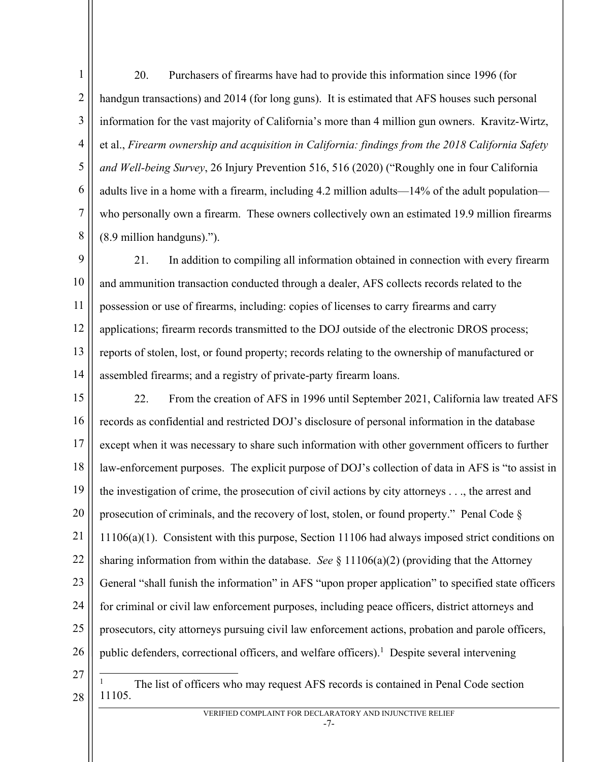1 2 3 4 5 6 7 8 20. Purchasers of firearms have had to provide this information since 1996 (for handgun transactions) and 2014 (for long guns). It is estimated that AFS houses such personal information for the vast majority of California's more than 4 million gun owners. Kravitz-Wirtz, et al., *Firearm ownership and acquisition in California: findings from the 2018 California Safety and Well-being Survey*, 26 Injury Prevention 516, 516 (2020) ("Roughly one in four California adults live in a home with a firearm, including 4.2 million adults—14% of the adult population who personally own a firearm. These owners collectively own an estimated 19.9 million firearms (8.9 million handguns).").

9 10 11 12 13 14 21. In addition to compiling all information obtained in connection with every firearm and ammunition transaction conducted through a dealer, AFS collects records related to the possession or use of firearms, including: copies of licenses to carry firearms and carry applications; firearm records transmitted to the DOJ outside of the electronic DROS process; reports of stolen, lost, or found property; records relating to the ownership of manufactured or assembled firearms; and a registry of private-party firearm loans.

15 16 17 18 19 20 21 22 23 24 25 26 22. From the creation of AFS in 1996 until September 2021, California law treated AFS records as confidential and restricted DOJ's disclosure of personal information in the database except when it was necessary to share such information with other government officers to further law-enforcement purposes. The explicit purpose of DOJ's collection of data in AFS is "to assist in the investigation of crime, the prosecution of civil actions by city attorneys . . ., the arrest and prosecution of criminals, and the recovery of lost, stolen, or found property." Penal Code § 11106(a)(1). Consistent with this purpose, Section 11106 had always imposed strict conditions on sharing information from within the database. *See* § 11106(a)(2) (providing that the Attorney General "shall funish the information" in AFS "upon proper application" to specified state officers for criminal or civil law enforcement purposes, including peace officers, district attorneys and prosecutors, city attorneys pursuing civil law enforcement actions, probation and parole officers, public defenders, correctional officers, and welfare officers).<sup>1</sup> Despite several intervening

27

28

<sup>1</sup> The list of officers who may request AFS records is contained in Penal Code section 11105.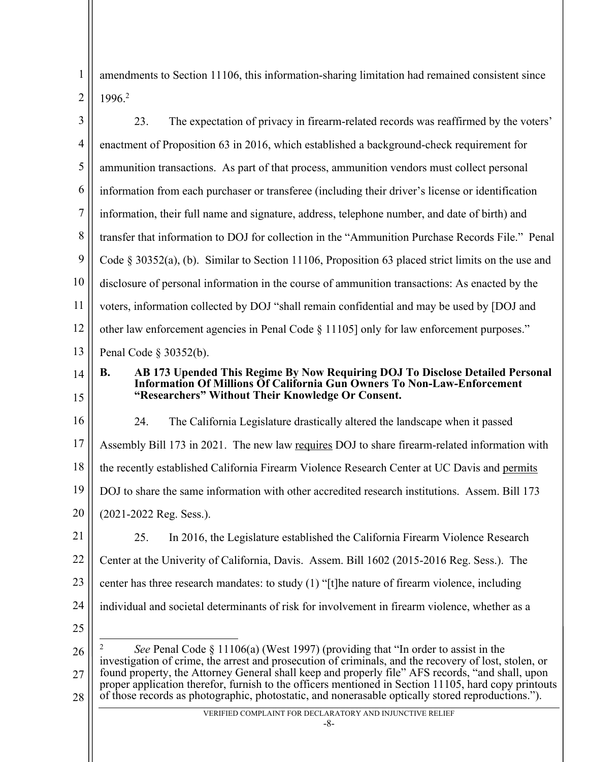1 2 amendments to Section 11106, this information-sharing limitation had remained consistent since 1996. 2

| 3              | 23.<br>The expectation of privacy in firearm-related records was reaffirmed by the voters'                                                                                                               |
|----------------|----------------------------------------------------------------------------------------------------------------------------------------------------------------------------------------------------------|
| $\overline{4}$ | enactment of Proposition 63 in 2016, which established a background-check requirement for                                                                                                                |
| 5              | ammunition transactions. As part of that process, ammunition vendors must collect personal                                                                                                               |
| 6              | information from each purchaser or transferee (including their driver's license or identification                                                                                                        |
| 7              | information, their full name and signature, address, telephone number, and date of birth) and                                                                                                            |
| 8              | transfer that information to DOJ for collection in the "Ammunition Purchase Records File." Penal                                                                                                         |
| 9              | Code $\S$ 30352(a), (b). Similar to Section 11106, Proposition 63 placed strict limits on the use and                                                                                                    |
| 10             | disclosure of personal information in the course of ammunition transactions: As enacted by the                                                                                                           |
| 11             | voters, information collected by DOJ "shall remain confidential and may be used by [DOJ and                                                                                                              |
| 12             | other law enforcement agencies in Penal Code § 11105] only for law enforcement purposes."                                                                                                                |
| 13             | Penal Code $\S$ 30352(b).                                                                                                                                                                                |
| 14             | AB 173 Upended This Regime By Now Requiring DOJ To Disclose Detailed Personal<br><b>B.</b><br><b>Information Of Millions Of California Gun Owners To Non-Law-Enforcement</b>                             |
| 15             | "Researchers" Without Their Knowledge Or Consent.                                                                                                                                                        |
| 16             | The California Legislature drastically altered the landscape when it passed<br>24.                                                                                                                       |
| 17             | Assembly Bill 173 in 2021. The new law requires DOJ to share firearm-related information with                                                                                                            |
| 18             | the recently established California Firearm Violence Research Center at UC Davis and permits                                                                                                             |
| 19             | DOJ to share the same information with other accredited research institutions. Assem. Bill 173                                                                                                           |
| 20             | (2021-2022 Reg. Sess.).                                                                                                                                                                                  |
| 21             | In 2016, the Legislature established the California Firearm Violence Research<br>25.                                                                                                                     |
| 22             | Center at the Univerity of California, Davis. Assem. Bill 1602 (2015-2016 Reg. Sess.). The                                                                                                               |
| 23             | center has three research mandates: to study (1) "[t]he nature of firearm violence, including                                                                                                            |
| 24             | individual and societal determinants of risk for involvement in firearm violence, whether as a                                                                                                           |
| 25             |                                                                                                                                                                                                          |
| 26             | 2<br>See Penal Code $\S 11106(a)$ (West 1997) (providing that "In order to assist in the<br>investigation of crime, the arrest and prosecution of criminals, and the recovery of lost, stolen, or        |
| 27             | found property, the Attorney General shall keep and properly file" AFS records, "and shall, upon<br>proper application therefor, furnish to the officers mentioned in Section 11105, hard copy printouts |
| 28             | of those records as photographic, photostatic, and nonerasable optically stored reproductions.").                                                                                                        |
|                | VERIFIED COMPLAINT FOR DECLARATORY AND INJUNCTIVE RELIEF<br>-8-                                                                                                                                          |
|                |                                                                                                                                                                                                          |
|                |                                                                                                                                                                                                          |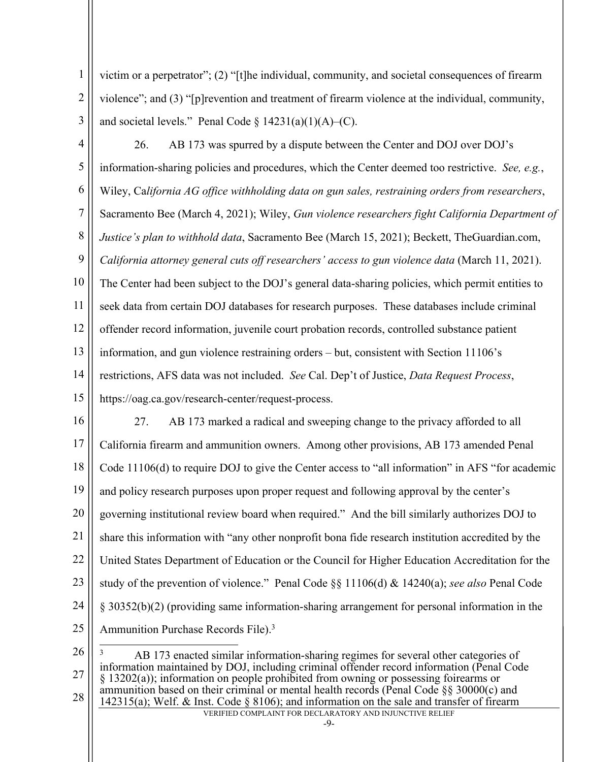1 2 3 victim or a perpetrator"; (2) "[t]he individual, community, and societal consequences of firearm violence"; and (3) "[p]revention and treatment of firearm violence at the individual, community, and societal levels." Penal Code  $\S$  14231(a)(1)(A)–(C).

- 4 5 6 7 8 9 10 11 12 13 14 15 26. AB 173 was spurred by a dispute between the Center and DOJ over DOJ's information-sharing policies and procedures, which the Center deemed too restrictive. *See, e.g.*, Wiley, Ca*lifornia AG office withholding data on gun sales, restraining orders from researchers*, Sacramento Bee (March 4, 2021); Wiley, *Gun violence researchers fight California Department of Justice's plan to withhold data*, Sacramento Bee (March 15, 2021); Beckett, TheGuardian.com, *California attorney general cuts off researchers' access to gun violence data* (March 11, 2021). The Center had been subject to the DOJ's general data-sharing policies, which permit entities to seek data from certain DOJ databases for research purposes. These databases include criminal offender record information, juvenile court probation records, controlled substance patient information, and gun violence restraining orders – but, consistent with Section 11106's restrictions, AFS data was not included. *See* Cal. Dep't of Justice, *Data Request Process*, https://oag.ca.gov/research-center/request-process.
- 16 17 18 19 20 21 22 23 24 25 27. AB 173 marked a radical and sweeping change to the privacy afforded to all California firearm and ammunition owners. Among other provisions, AB 173 amended Penal Code 11106(d) to require DOJ to give the Center access to "all information" in AFS "for academic and policy research purposes upon proper request and following approval by the center's governing institutional review board when required." And the bill similarly authorizes DOJ to share this information with "any other nonprofit bona fide research institution accredited by the United States Department of Education or the Council for Higher Education Accreditation for the study of the prevention of violence." Penal Code §§ 11106(d) & 14240(a); *see also* Penal Code § 30352(b)(2) (providing same information-sharing arrangement for personal information in the Ammunition Purchase Records File). 3

VERIFIED COMPLAINT FOR DECLARATORY AND INJUNCTIVE RELIEF 26 27 28 <sup>3</sup> AB 173 enacted similar information-sharing regimes for several other categories of information maintained by DOJ, including criminal offender record information (Penal Code § 13202(a)); information on people prohibited from owning or possessing foirearms or ammunition based on their criminal or mental health records (Penal Code §§ 30000(c) and 142315(a); Welf. & Inst. Code § 8106); and information on the sale and transfer of firearm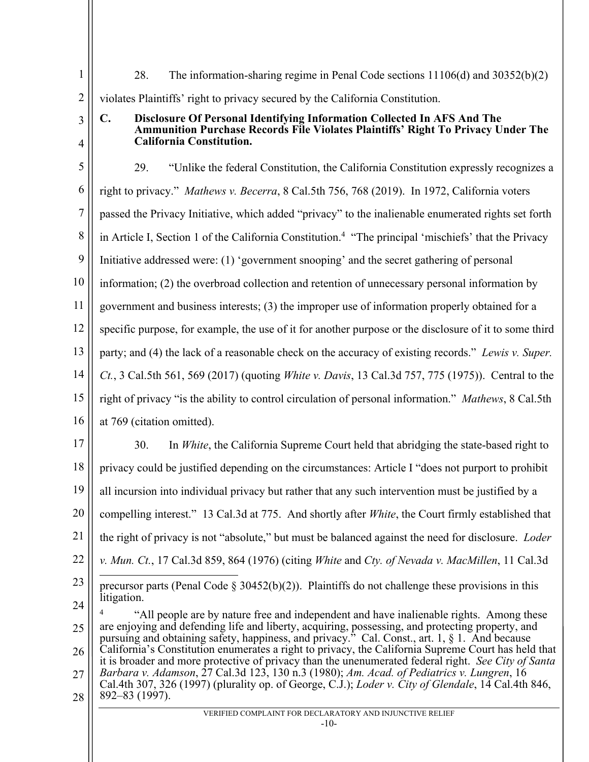| 1              | 28.<br>The information-sharing regime in Penal Code sections $11106(d)$ and $30352(b)(2)$                                                                                                                  |
|----------------|------------------------------------------------------------------------------------------------------------------------------------------------------------------------------------------------------------|
| $\overline{2}$ | violates Plaintiffs' right to privacy secured by the California Constitution.                                                                                                                              |
| 3              | Disclosure Of Personal Identifying Information Collected In AFS And The<br>C.<br>Ammunition Purchase Records File Violates Plaintiffs' Right To Privacy Under The                                          |
| 4              | <b>California Constitution.</b>                                                                                                                                                                            |
| 5              | "Unlike the federal Constitution, the California Constitution expressly recognizes a<br>29.                                                                                                                |
| 6              | right to privacy." Mathews v. Becerra, 8 Cal.5th 756, 768 (2019). In 1972, California voters                                                                                                               |
| 7              | passed the Privacy Initiative, which added "privacy" to the inalienable enumerated rights set forth                                                                                                        |
| 8              | in Article I, Section 1 of the California Constitution. <sup>4</sup> "The principal 'mischiefs' that the Privacy                                                                                           |
| 9              | Initiative addressed were: (1) 'government snooping' and the secret gathering of personal                                                                                                                  |
| 10             | information; (2) the overbroad collection and retention of unnecessary personal information by                                                                                                             |
| 11             | government and business interests; (3) the improper use of information properly obtained for a                                                                                                             |
| 12             | specific purpose, for example, the use of it for another purpose or the disclosure of it to some third                                                                                                     |
| 13             | party; and (4) the lack of a reasonable check on the accuracy of existing records." Lewis v. Super.                                                                                                        |
| 14             | Ct., 3 Cal.5th 561, 569 (2017) (quoting <i>White v. Davis</i> , 13 Cal.3d 757, 775 (1975)). Central to the                                                                                                 |
| 15             | right of privacy "is the ability to control circulation of personal information." Mathews, 8 Cal.5th                                                                                                       |
| 16             | at 769 (citation omitted).                                                                                                                                                                                 |
| 17             | In White, the California Supreme Court held that abridging the state-based right to<br>30.                                                                                                                 |
| 18             | privacy could be justified depending on the circumstances: Article I "does not purport to prohibit                                                                                                         |
| 19             | all incursion into individual privacy but rather that any such intervention must be justified by a                                                                                                         |
| 20             | compelling interest." 13 Cal.3d at 775. And shortly after <i>White</i> , the Court firmly established that                                                                                                 |
| 21             | the right of privacy is not "absolute," but must be balanced against the need for disclosure. <i>Loder</i>                                                                                                 |
| 22             | v. Mun. Ct., 17 Cal.3d 859, 864 (1976) (citing White and Cty. of Nevada v. MacMillen, 11 Cal.3d                                                                                                            |
| 23             | precursor parts (Penal Code $\S 30452(b)(2)$ ). Plaintiffs do not challenge these provisions in this                                                                                                       |
| 24             | litigation.<br>"All people are by nature free and independent and have inalienable rights. Among these                                                                                                     |
| 25             | are enjoying and defending life and liberty, acquiring, possessing, and protecting property, and<br>pursuing and obtaining safety, happiness, and privacy." Cal. Const., art. 1, § 1. And because          |
| 26             | California's Constitution enumerates a right to privacy, the California Supreme Court has held that<br>it is broader and more protective of privacy than the unenumerated federal right. See City of Santa |
| 27             | Barbara v. Adamson, 27 Cal.3d 123, 130 n.3 (1980); Am. Acad. of Pediatrics v. Lungren, 16<br>Cal.4th 307, 326 (1997) (plurality op. of George, C.J.); <i>Loder v. City of Glendale</i> , 14 Cal.4th 846,   |
| 28             | 892-83 (1997).<br>VERIFIED COMPLAINT FOR DECLARATORY AND INJUNCTIVE RELIEF                                                                                                                                 |
|                | $-10-$                                                                                                                                                                                                     |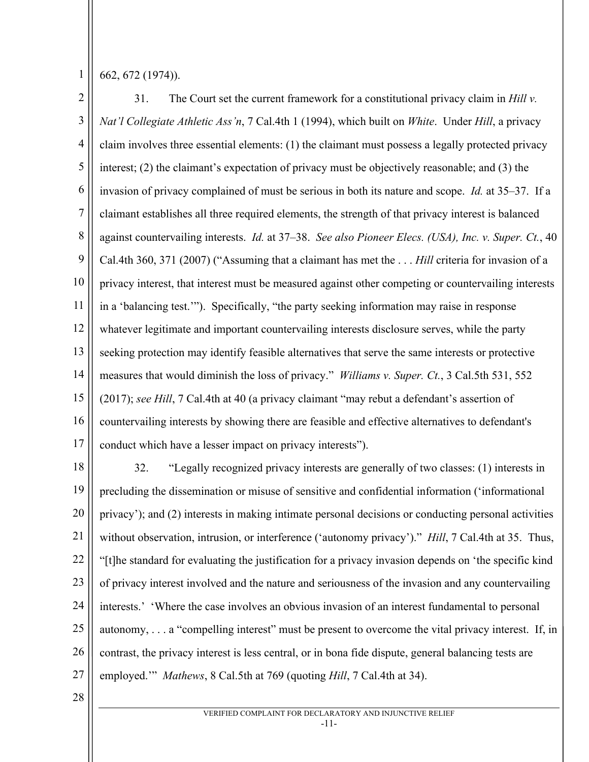662, 672 (1974)).

2 3 4 5 6 7 8 9 10 11 12 13 14 15 16 17 31. The Court set the current framework for a constitutional privacy claim in *Hill v. Nat'l Collegiate Athletic Ass'n*, 7 Cal.4th 1 (1994), which built on *White*. Under *Hill*, a privacy claim involves three essential elements: (1) the claimant must possess a legally protected privacy interest; (2) the claimant's expectation of privacy must be objectively reasonable; and (3) the invasion of privacy complained of must be serious in both its nature and scope. *Id.* at 35–37. If a claimant establishes all three required elements, the strength of that privacy interest is balanced against countervailing interests. *Id.* at 37–38. *See also Pioneer Elecs. (USA), Inc. v. Super. Ct.*, 40 Cal.4th 360, 371 (2007) ("Assuming that a claimant has met the . . . *Hill* criteria for invasion of a privacy interest, that interest must be measured against other competing or countervailing interests in a 'balancing test.'"). Specifically, "the party seeking information may raise in response whatever legitimate and important countervailing interests disclosure serves, while the party seeking protection may identify feasible alternatives that serve the same interests or protective measures that would diminish the loss of privacy." *Williams v. Super. Ct.*, 3 Cal.5th 531, 552 (2017); *see Hill*, 7 Cal.4th at 40 (a privacy claimant "may rebut a defendant's assertion of countervailing interests by showing there are feasible and effective alternatives to defendant's conduct which have a lesser impact on privacy interests").

18 19 20 21 22 23 24 25 26 27 32. "Legally recognized privacy interests are generally of two classes: (1) interests in precluding the dissemination or misuse of sensitive and confidential information ('informational privacy'); and (2) interests in making intimate personal decisions or conducting personal activities without observation, intrusion, or interference ('autonomy privacy')." *Hill*, 7 Cal.4th at 35. Thus, "[t]he standard for evaluating the justification for a privacy invasion depends on 'the specific kind of privacy interest involved and the nature and seriousness of the invasion and any countervailing interests.' 'Where the case involves an obvious invasion of an interest fundamental to personal autonomy, . . . a "compelling interest" must be present to overcome the vital privacy interest. If, in contrast, the privacy interest is less central, or in bona fide dispute, general balancing tests are employed.'" *Mathews*, 8 Cal.5th at 769 (quoting *Hill*, 7 Cal.4th at 34).

28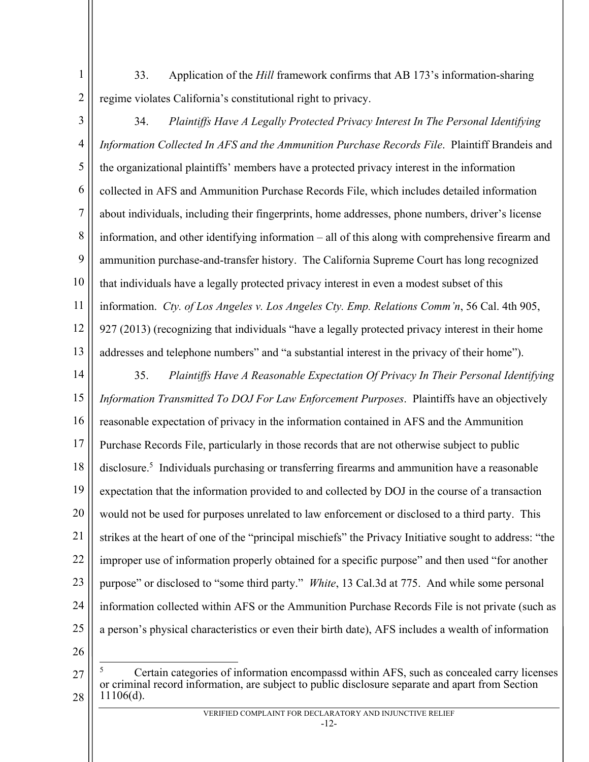33. Application of the *Hill* framework confirms that AB 173's information-sharing regime violates California's constitutional right to privacy.

3 4 5 6 7 8 9 10 11 12 13 34. *Plaintiffs Have A Legally Protected Privacy Interest In The Personal Identifying Information Collected In AFS and the Ammunition Purchase Records File*.Plaintiff Brandeis and the organizational plaintiffs' members have a protected privacy interest in the information collected in AFS and Ammunition Purchase Records File, which includes detailed information about individuals, including their fingerprints, home addresses, phone numbers, driver's license information, and other identifying information – all of this along with comprehensive firearm and ammunition purchase-and-transfer history. The California Supreme Court has long recognized that individuals have a legally protected privacy interest in even a modest subset of this information. *Cty. of Los Angeles v. Los Angeles Cty. Emp. Relations Comm'n*, 56 Cal. 4th 905, 927 (2013) (recognizing that individuals "have a legally protected privacy interest in their home addresses and telephone numbers" and "a substantial interest in the privacy of their home").

- 14 15 16 17 18 19 20 21 22 23 24 25 35. *Plaintiffs Have A Reasonable Expectation Of Privacy In Their Personal Identifying Information Transmitted To DOJ For Law Enforcement Purposes*. Plaintiffs have an objectively reasonable expectation of privacy in the information contained in AFS and the Ammunition Purchase Records File, particularly in those records that are not otherwise subject to public disclosure.5 Individuals purchasing or transferring firearms and ammunition have a reasonable expectation that the information provided to and collected by DOJ in the course of a transaction would not be used for purposes unrelated to law enforcement or disclosed to a third party. This strikes at the heart of one of the "principal mischiefs" the Privacy Initiative sought to address: "the improper use of information properly obtained for a specific purpose" and then used "for another purpose" or disclosed to "some third party." *White*, 13 Cal.3d at 775. And while some personal information collected within AFS or the Ammunition Purchase Records File is not private (such as a person's physical characteristics or even their birth date), AFS includes a wealth of information
- 26

1

2

<sup>27</sup> 28 <sup>5</sup> Certain categories of information encompassd within AFS, such as concealed carry licenses or criminal record information, are subject to public disclosure separate and apart from Section 11106(d).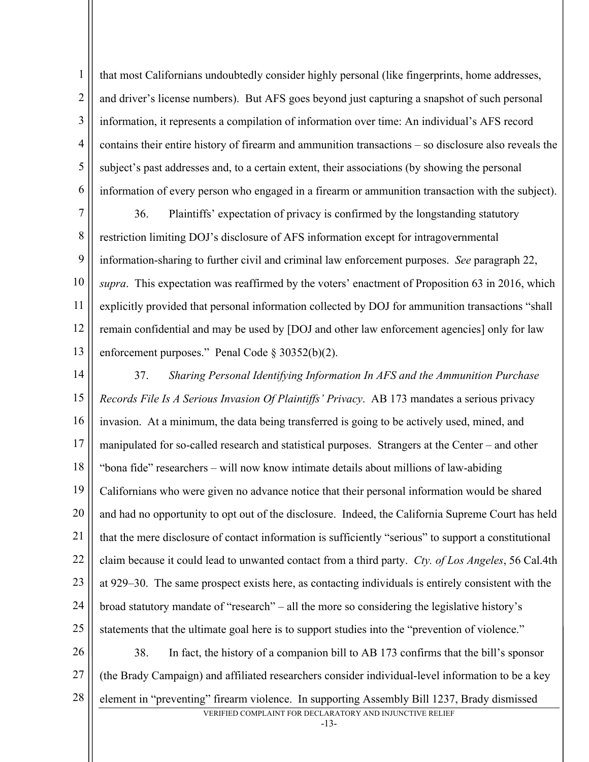1 2 3 4 5 6 that most Californians undoubtedly consider highly personal (like fingerprints, home addresses, and driver's license numbers). But AFS goes beyond just capturing a snapshot of such personal information, it represents a compilation of information over time: An individual's AFS record contains their entire history of firearm and ammunition transactions – so disclosure also reveals the subject's past addresses and, to a certain extent, their associations (by showing the personal information of every person who engaged in a firearm or ammunition transaction with the subject).

7 8 9 10 11 12 13 36. Plaintiffs' expectation of privacy is confirmed by the longstanding statutory restriction limiting DOJ's disclosure of AFS information except for intragovernmental information-sharing to further civil and criminal law enforcement purposes. *See* paragraph 22, *supra*. This expectation was reaffirmed by the voters' enactment of Proposition 63 in 2016, which explicitly provided that personal information collected by DOJ for ammunition transactions "shall remain confidential and may be used by [DOJ and other law enforcement agencies] only for law enforcement purposes." Penal Code § 30352(b)(2).

14 15 16 17 18 19 20 21 22 23 24 25 26 27 37. *Sharing Personal Identifying Information In AFS and the Ammunition Purchase Records File Is A Serious Invasion Of Plaintiffs' Privacy*. AB 173 mandates a serious privacy invasion. At a minimum, the data being transferred is going to be actively used, mined, and manipulated for so-called research and statistical purposes. Strangers at the Center – and other "bona fide" researchers – will now know intimate details about millions of law-abiding Californians who were given no advance notice that their personal information would be shared and had no opportunity to opt out of the disclosure. Indeed, the California Supreme Court has held that the mere disclosure of contact information is sufficiently "serious" to support a constitutional claim because it could lead to unwanted contact from a third party. *Cty. of Los Angeles*, 56 Cal.4th at 929–30. The same prospect exists here, as contacting individuals is entirely consistent with the broad statutory mandate of "research" – all the more so considering the legislative history's statements that the ultimate goal here is to support studies into the "prevention of violence." 38. In fact, the history of a companion bill to AB 173 confirms that the bill's sponsor (the Brady Campaign) and affiliated researchers consider individual-level information to be a key

28 element in "preventing" firearm violence. In supporting Assembly Bill 1237, Brady dismissed

VERIFIED COMPLAINT FOR DECLARATORY AND INJUNCTIVE RELIEF

-13-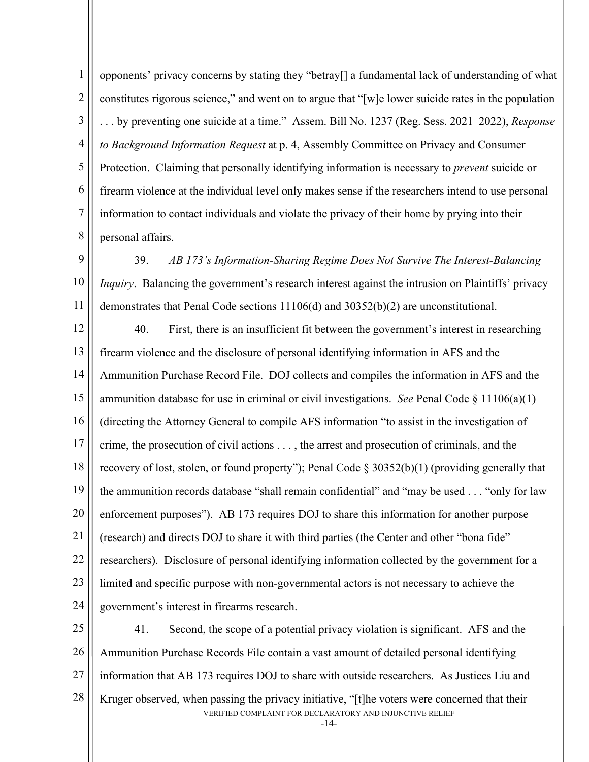1 2 3 4 5 6 7 8 opponents' privacy concerns by stating they "betray[] a fundamental lack of understanding of what constitutes rigorous science," and went on to argue that "[w]e lower suicide rates in the population . . . by preventing one suicide at a time." Assem. Bill No. 1237 (Reg. Sess. 2021–2022), *Response to Background Information Request* at p. 4, Assembly Committee on Privacy and Consumer Protection. Claiming that personally identifying information is necessary to *prevent* suicide or firearm violence at the individual level only makes sense if the researchers intend to use personal information to contact individuals and violate the privacy of their home by prying into their personal affairs.

9 10 11 39. *AB 173's Information-Sharing Regime Does Not Survive The Interest-Balancing Inquiry*. Balancing the government's research interest against the intrusion on Plaintiffs' privacy demonstrates that Penal Code sections 11106(d) and 30352(b)(2) are unconstitutional.

12 13 14 15 16 17 18 19 20 21 22 23 24 40. First, there is an insufficient fit between the government's interest in researching firearm violence and the disclosure of personal identifying information in AFS and the Ammunition Purchase Record File. DOJ collects and compiles the information in AFS and the ammunition database for use in criminal or civil investigations. *See* Penal Code § 11106(a)(1) (directing the Attorney General to compile AFS information "to assist in the investigation of crime, the prosecution of civil actions . . . , the arrest and prosecution of criminals, and the recovery of lost, stolen, or found property"); Penal Code § 30352(b)(1) (providing generally that the ammunition records database "shall remain confidential" and "may be used . . . "only for law enforcement purposes"). AB 173 requires DOJ to share this information for another purpose (research) and directs DOJ to share it with third parties (the Center and other "bona fide" researchers). Disclosure of personal identifying information collected by the government for a limited and specific purpose with non-governmental actors is not necessary to achieve the government's interest in firearms research.

VERIFIED COMPLAINT FOR DECLARATORY AND INJUNCTIVE RELIEF 25 26 27 28 41. Second, the scope of a potential privacy violation is significant. AFS and the Ammunition Purchase Records File contain a vast amount of detailed personal identifying information that AB 173 requires DOJ to share with outside researchers. As Justices Liu and Kruger observed, when passing the privacy initiative, "[t]he voters were concerned that their

-14-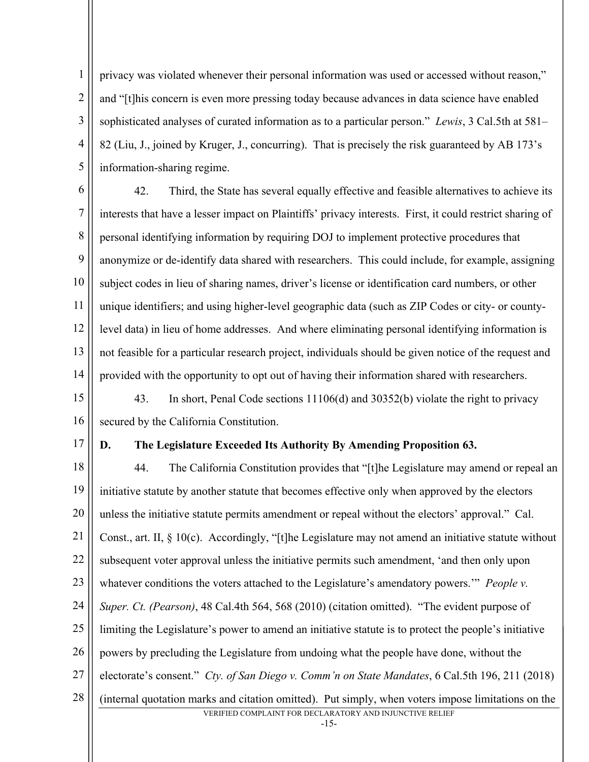privacy was violated whenever their personal information was used or accessed without reason," and "[t]his concern is even more pressing today because advances in data science have enabled sophisticated analyses of curated information as to a particular person." *Lewis*, 3 Cal.5th at 581– 82 (Liu, J., joined by Kruger, J., concurring). That is precisely the risk guaranteed by AB 173's information-sharing regime.

6 7 8 9 10 11 12 13 14 42. Third, the State has several equally effective and feasible alternatives to achieve its interests that have a lesser impact on Plaintiffs' privacy interests. First, it could restrict sharing of personal identifying information by requiring DOJ to implement protective procedures that anonymize or de-identify data shared with researchers. This could include, for example, assigning subject codes in lieu of sharing names, driver's license or identification card numbers, or other unique identifiers; and using higher-level geographic data (such as ZIP Codes or city- or countylevel data) in lieu of home addresses. And where eliminating personal identifying information is not feasible for a particular research project, individuals should be given notice of the request and provided with the opportunity to opt out of having their information shared with researchers.

15 16 43. In short, Penal Code sections 11106(d) and 30352(b) violate the right to privacy secured by the California Constitution.

17

1

2

3

4

5

#### **D. The Legislature Exceeded Its Authority By Amending Proposition 63.**

VERIFIED COMPLAINT FOR DECLARATORY AND INJUNCTIVE RELIEF 18 19 20 21 22 23 24 25 26 27 28 44. The California Constitution provides that "[t]he Legislature may amend or repeal an initiative statute by another statute that becomes effective only when approved by the electors unless the initiative statute permits amendment or repeal without the electors' approval." Cal. Const., art. II, § 10(c). Accordingly, "[t]he Legislature may not amend an initiative statute without subsequent voter approval unless the initiative permits such amendment, 'and then only upon whatever conditions the voters attached to the Legislature's amendatory powers.'" *People v. Super. Ct. (Pearson)*, 48 Cal.4th 564, 568 (2010) (citation omitted). "The evident purpose of limiting the Legislature's power to amend an initiative statute is to protect the people's initiative powers by precluding the Legislature from undoing what the people have done, without the electorate's consent." *Cty. of San Diego v. Comm'n on State Mandates*, 6 Cal.5th 196, 211 (2018) (internal quotation marks and citation omitted). Put simply, when voters impose limitations on the

-15-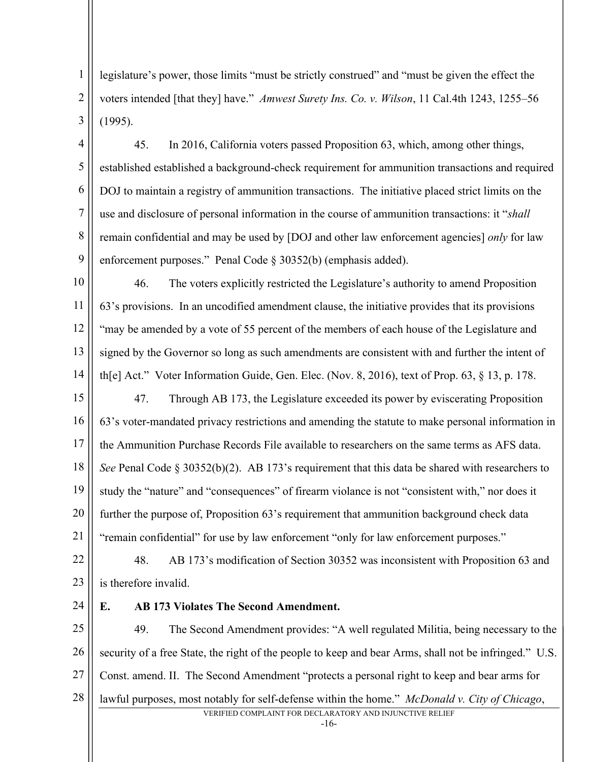legislature's power, those limits "must be strictly construed" and "must be given the effect the voters intended [that they] have." *Amwest Surety Ins. Co. v. Wilson*, 11 Cal.4th 1243, 1255–56 (1995).

4 5 6 7 8 9 45. In 2016, California voters passed Proposition 63, which, among other things, established established a background-check requirement for ammunition transactions and required DOJ to maintain a registry of ammunition transactions. The initiative placed strict limits on the use and disclosure of personal information in the course of ammunition transactions: it "*shall* remain confidential and may be used by [DOJ and other law enforcement agencies] *only* for law enforcement purposes." Penal Code § 30352(b) (emphasis added).

10 11 12 13 14 46. The voters explicitly restricted the Legislature's authority to amend Proposition 63's provisions. In an uncodified amendment clause, the initiative provides that its provisions "may be amended by a vote of 55 percent of the members of each house of the Legislature and signed by the Governor so long as such amendments are consistent with and further the intent of th[e] Act." Voter Information Guide, Gen. Elec. (Nov. 8, 2016), text of Prop. 63, § 13, p. 178.

15 16 17 18 19 20 21 47. Through AB 173, the Legislature exceeded its power by eviscerating Proposition 63's voter-mandated privacy restrictions and amending the statute to make personal information in the Ammunition Purchase Records File available to researchers on the same terms as AFS data. *See* Penal Code § 30352(b)(2). AB 173's requirement that this data be shared with researchers to study the "nature" and "consequences" of firearm violance is not "consistent with," nor does it further the purpose of, Proposition 63's requirement that ammunition background check data "remain confidential" for use by law enforcement "only for law enforcement purposes."

22 23 48. AB 173's modification of Section 30352 was inconsistent with Proposition 63 and is therefore invalid.

24

1

2

3

### **E. AB 173 Violates The Second Amendment.**

25 26 27 28 49. The Second Amendment provides: "A well regulated Militia, being necessary to the security of a free State, the right of the people to keep and bear Arms, shall not be infringed." U.S. Const. amend. II. The Second Amendment "protects a personal right to keep and bear arms for lawful purposes, most notably for self-defense within the home." *McDonald v. City of Chicago*,

VERIFIED COMPLAINT FOR DECLARATORY AND INJUNCTIVE RELIEF

-16-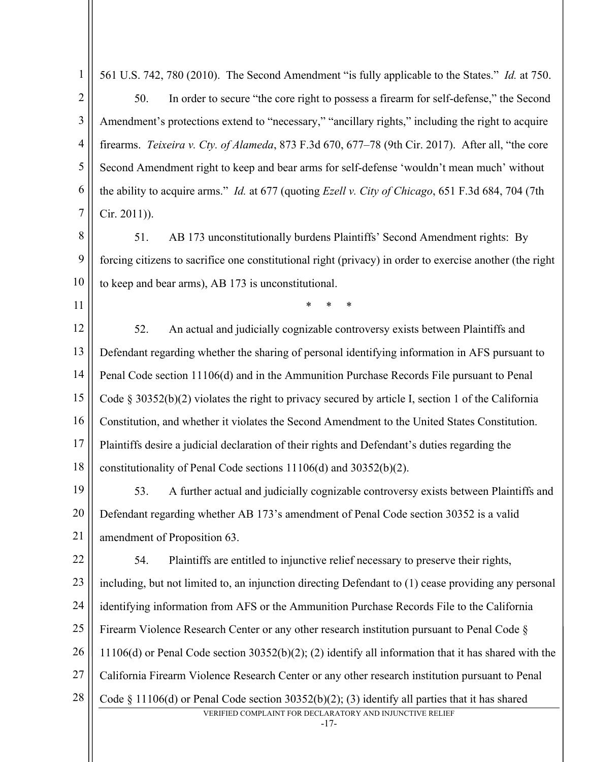| č |  |
|---|--|

561 U.S. 742, 780 (2010). The Second Amendment "is fully applicable to the States." *Id.* at 750.

3 4 5 6 7 50. In order to secure "the core right to possess a firearm for self-defense," the Second Amendment's protections extend to "necessary," "ancillary rights," including the right to acquire firearms. *Teixeira v. Cty. of Alameda*, 873 F.3d 670, 677–78 (9th Cir. 2017). After all, "the core Second Amendment right to keep and bear arms for self-defense 'wouldn't mean much' without the ability to acquire arms." *Id.* at 677 (quoting *Ezell v. City of Chicago*, 651 F.3d 684, 704 (7th Cir. 2011)).

8 9 10 51. AB 173 unconstitutionally burdens Plaintiffs' Second Amendment rights: By forcing citizens to sacrifice one constitutional right (privacy) in order to exercise another (the right to keep and bear arms), AB 173 is unconstitutional.

\* \* \*

11

12 13 14 15 16 17 18 52. An actual and judicially cognizable controversy exists between Plaintiffs and Defendant regarding whether the sharing of personal identifying information in AFS pursuant to Penal Code section 11106(d) and in the Ammunition Purchase Records File pursuant to Penal Code  $\S 30352(b)(2)$  violates the right to privacy secured by article I, section 1 of the California Constitution, and whether it violates the Second Amendment to the United States Constitution. Plaintiffs desire a judicial declaration of their rights and Defendant's duties regarding the constitutionality of Penal Code sections 11106(d) and 30352(b)(2).

19 20 21 53. A further actual and judicially cognizable controversy exists between Plaintiffs and Defendant regarding whether AB 173's amendment of Penal Code section 30352 is a valid amendment of Proposition 63.

VERIFIED COMPLAINT FOR DECLARATORY AND INJUNCTIVE RELIEF 22 23 24 25 26 27 28 54. Plaintiffs are entitled to injunctive relief necessary to preserve their rights, including, but not limited to, an injunction directing Defendant to (1) cease providing any personal identifying information from AFS or the Ammunition Purchase Records File to the California Firearm Violence Research Center or any other research institution pursuant to Penal Code § 11106(d) or Penal Code section 30352(b)(2); (2) identify all information that it has shared with the California Firearm Violence Research Center or any other research institution pursuant to Penal Code § 11106(d) or Penal Code section 30352(b)(2); (3) identify all parties that it has shared

-17-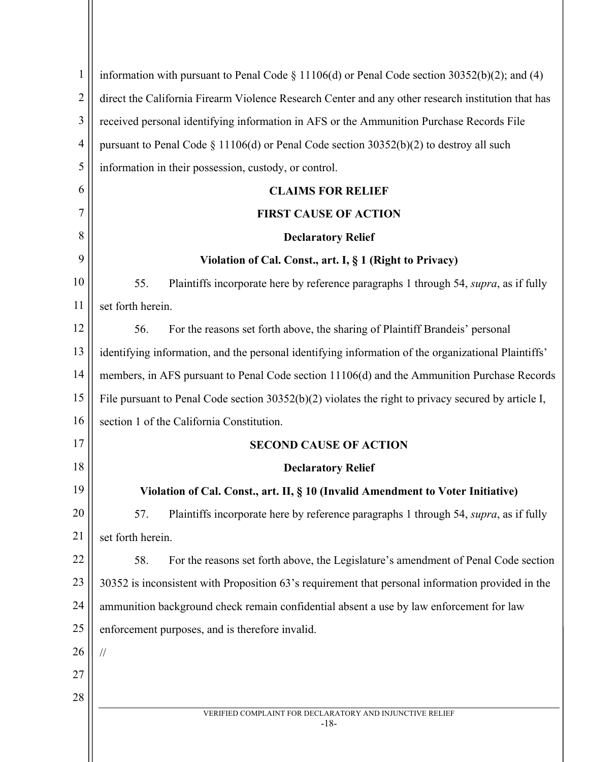| $\mathbf{1}$   | information with pursuant to Penal Code $\S 11106(d)$ or Penal Code section 30352(b)(2); and (4)      |
|----------------|-------------------------------------------------------------------------------------------------------|
| $\overline{2}$ | direct the California Firearm Violence Research Center and any other research institution that has    |
| 3              | received personal identifying information in AFS or the Ammunition Purchase Records File              |
| $\overline{4}$ | pursuant to Penal Code $\S 11106(d)$ or Penal Code section 30352(b)(2) to destroy all such            |
| 5              | information in their possession, custody, or control.                                                 |
| 6              | <b>CLAIMS FOR RELIEF</b>                                                                              |
| 7              | <b>FIRST CAUSE OF ACTION</b>                                                                          |
| 8              | <b>Declaratory Relief</b>                                                                             |
| 9              | Violation of Cal. Const., art. I, § 1 (Right to Privacy)                                              |
| 10             | 55.<br>Plaintiffs incorporate here by reference paragraphs 1 through 54, <i>supra</i> , as if fully   |
| 11             | set forth herein.                                                                                     |
| 12             | For the reasons set forth above, the sharing of Plaintiff Brandeis' personal<br>56.                   |
| 13             | identifying information, and the personal identifying information of the organizational Plaintiffs'   |
| 14             | members, in AFS pursuant to Penal Code section 11106(d) and the Ammunition Purchase Records           |
| 15             | File pursuant to Penal Code section $30352(b)(2)$ violates the right to privacy secured by article I, |
| 16             | section 1 of the California Constitution.                                                             |
| 17             | <b>SECOND CAUSE OF ACTION</b>                                                                         |
| 18             | <b>Declaratory Relief</b>                                                                             |
| 19             | Violation of Cal. Const., art. II, § 10 (Invalid Amendment to Voter Initiative)                       |
| 20             | 57.<br>Plaintiffs incorporate here by reference paragraphs 1 through 54, <i>supra</i> , as if fully   |
| 21             | set forth herein.                                                                                     |
| 22             | 58.<br>For the reasons set forth above, the Legislature's amendment of Penal Code section             |
| 23             | 30352 is inconsistent with Proposition 63's requirement that personal information provided in the     |
| 24             | ammunition background check remain confidential absent a use by law enforcement for law               |
| 25             | enforcement purposes, and is therefore invalid.                                                       |
| 26             | $\sqrt{}$                                                                                             |
| 27             |                                                                                                       |
| 28             |                                                                                                       |
|                | VERIFIED COMPLAINT FOR DECLARATORY AND INJUNCTIVE RELIEF<br>$-18-$                                    |
|                |                                                                                                       |
|                |                                                                                                       |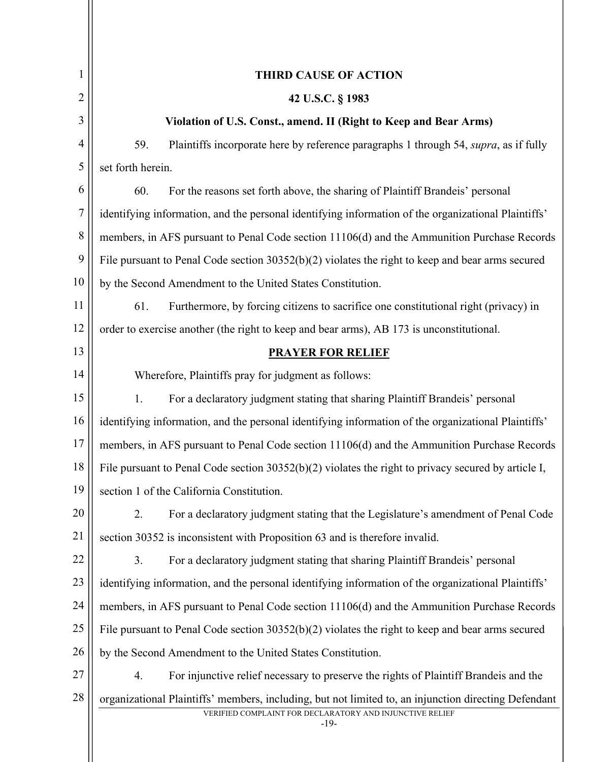| 1              | <b>THIRD CAUSE OF ACTION</b>                                                                          |
|----------------|-------------------------------------------------------------------------------------------------------|
| 2              | 42 U.S.C. § 1983                                                                                      |
| 3              | Violation of U.S. Const., amend. II (Right to Keep and Bear Arms)                                     |
| $\overline{4}$ | 59.<br>Plaintiffs incorporate here by reference paragraphs 1 through 54, <i>supra</i> , as if fully   |
| 5              | set forth herein.                                                                                     |
| 6              | 60.<br>For the reasons set forth above, the sharing of Plaintiff Brandeis' personal                   |
| 7              | identifying information, and the personal identifying information of the organizational Plaintiffs'   |
| 8              | members, in AFS pursuant to Penal Code section 11106(d) and the Ammunition Purchase Records           |
| 9              | File pursuant to Penal Code section $30352(b)(2)$ violates the right to keep and bear arms secured    |
| 10             | by the Second Amendment to the United States Constitution.                                            |
| 11             | Furthermore, by forcing citizens to sacrifice one constitutional right (privacy) in<br>61.            |
| 12             | order to exercise another (the right to keep and bear arms), AB 173 is unconstitutional.              |
| 13             | <b>PRAYER FOR RELIEF</b>                                                                              |
| 14             | Wherefore, Plaintiffs pray for judgment as follows:                                                   |
| 15             | For a declaratory judgment stating that sharing Plaintiff Brandeis' personal<br>1.                    |
| 16             | identifying information, and the personal identifying information of the organizational Plaintiffs'   |
| 17             | members, in AFS pursuant to Penal Code section 11106(d) and the Ammunition Purchase Records           |
| 18             | File pursuant to Penal Code section $30352(b)(2)$ violates the right to privacy secured by article I, |
| 19             | section 1 of the California Constitution.                                                             |
| 20             | For a declaratory judgment stating that the Legislature's amendment of Penal Code<br>2.               |
| 21             | section 30352 is inconsistent with Proposition 63 and is therefore invalid.                           |
| 22             | For a declaratory judgment stating that sharing Plaintiff Brandeis' personal<br>3.                    |
| 23             | identifying information, and the personal identifying information of the organizational Plaintiffs'   |
| 24             | members, in AFS pursuant to Penal Code section 11106(d) and the Ammunition Purchase Records           |
| 25             | File pursuant to Penal Code section $30352(b)(2)$ violates the right to keep and bear arms secured    |
| 26             | by the Second Amendment to the United States Constitution.                                            |
| 27             | For injunctive relief necessary to preserve the rights of Plaintiff Brandeis and the<br>4.            |
| 28             | organizational Plaintiffs' members, including, but not limited to, an injunction directing Defendant  |
|                | VERIFIED COMPLAINT FOR DECLARATORY AND INJUNCTIVE RELIEF<br>$-19-$                                    |
|                |                                                                                                       |
|                |                                                                                                       |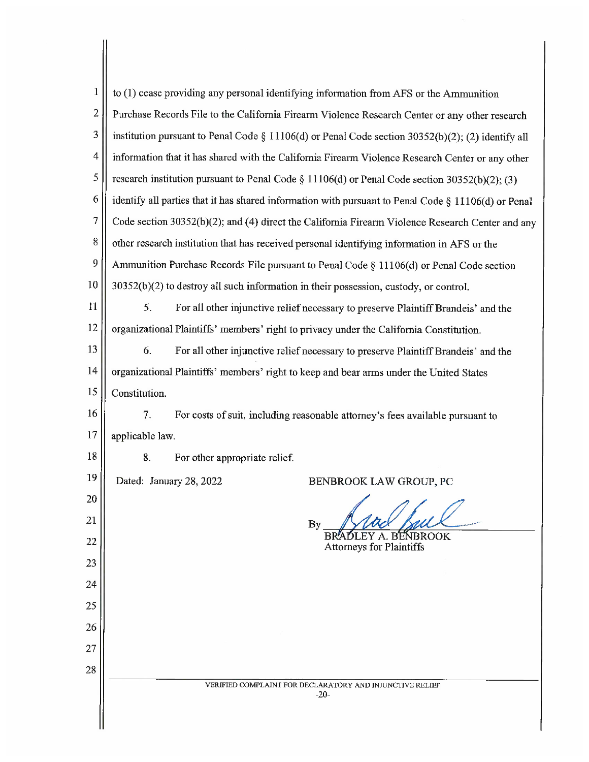| $\mathbf{1}$   | to (1) cease providing any personal identifying information from AFS or the Ammunition              |
|----------------|-----------------------------------------------------------------------------------------------------|
| $\overline{c}$ | Purchase Records File to the California Firearm Violence Research Center or any other research      |
| 3              | institution pursuant to Penal Code § 11106(d) or Penal Code section 30352(b)(2); (2) identify all   |
| 4              | information that it has shared with the California Firearm Violence Research Center or any other    |
| 5              | research institution pursuant to Penal Code § 11106(d) or Penal Code section $30352(b)(2)$ ; (3)    |
| 6              | identify all parties that it has shared information with pursuant to Penal Code § 11106(d) or Penal |
| $\overline{7}$ | Code section 30352(b)(2); and (4) direct the California Firearm Violence Research Center and any    |
| 8              | other research institution that has received personal identifying information in AFS or the         |
| 9              | Ammunition Purchase Records File pursuant to Penal Code § 11106(d) or Penal Code section            |
| 10             | 30352(b)(2) to destroy all such information in their possession, custody, or control.               |
| 11             | 5.<br>For all other injunctive relief necessary to preserve Plaintiff Brandeis' and the             |
| 12             | organizational Plaintiffs' members' right to privacy under the California Constitution.             |
| 13             | 6.<br>For all other injunctive relief necessary to preserve Plaintiff Brandeis' and the             |
| 14             | organizational Plaintiffs' members' right to keep and bear arms under the United States             |
| 15             | Constitution.                                                                                       |
| 16             | 7.<br>For costs of suit, including reasonable attorney's fees available pursuant to                 |
| 17             | applicable law.                                                                                     |
| 18             | 8.<br>For other appropriate relief.                                                                 |
| 19             | Dated: January 28, 2022<br>BENBROOK LAW GROUP, PC                                                   |
| 20             |                                                                                                     |
| 21             | <b>By</b>                                                                                           |
| 22             | BENBROOK<br><b>Attorneys for Plaintiffs</b>                                                         |
| 23             |                                                                                                     |
| 24             |                                                                                                     |
| 25             |                                                                                                     |
| 26             |                                                                                                     |
| 27             |                                                                                                     |
| 28             |                                                                                                     |
|                | VERIFIED COMPLAINT FOR DECLARATORY AND INJUNCTIVE RELIEF<br>$-20-$                                  |
|                |                                                                                                     |

 $\mathsf{I}$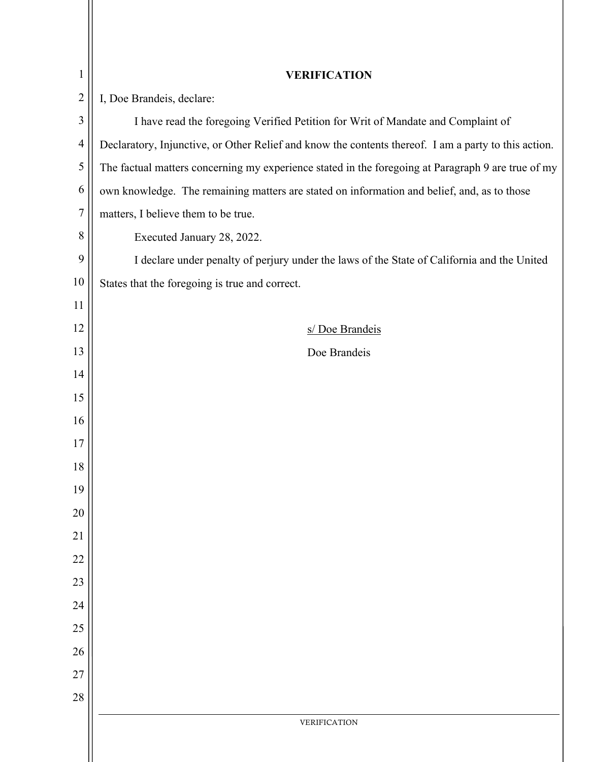| $\mathbf{1}$   | <b>VERIFICATION</b>                                                                                  |
|----------------|------------------------------------------------------------------------------------------------------|
| $\overline{2}$ | I, Doe Brandeis, declare:                                                                            |
| 3              | I have read the foregoing Verified Petition for Writ of Mandate and Complaint of                     |
| $\overline{4}$ | Declaratory, Injunctive, or Other Relief and know the contents thereof. I am a party to this action. |
| 5              | The factual matters concerning my experience stated in the foregoing at Paragraph 9 are true of my   |
| 6              | own knowledge. The remaining matters are stated on information and belief, and, as to those          |
| 7              | matters, I believe them to be true.                                                                  |
| 8              | Executed January 28, 2022.                                                                           |
| 9              | I declare under penalty of perjury under the laws of the State of California and the United          |
| 10             | States that the foregoing is true and correct.                                                       |
| 11             |                                                                                                      |
| 12             | s/ Doe Brandeis                                                                                      |
| 13             | Doe Brandeis                                                                                         |
| 14             |                                                                                                      |
| 15             |                                                                                                      |
| 16             |                                                                                                      |
| 17             |                                                                                                      |
| 18             |                                                                                                      |
| 19             |                                                                                                      |
| 20             |                                                                                                      |
| 21             |                                                                                                      |
| 22             |                                                                                                      |
| 23             |                                                                                                      |
| 24             |                                                                                                      |
| 25             |                                                                                                      |
| 26             |                                                                                                      |
| 27             |                                                                                                      |
| 28             |                                                                                                      |
|                | <b>VERIFICATION</b>                                                                                  |
|                |                                                                                                      |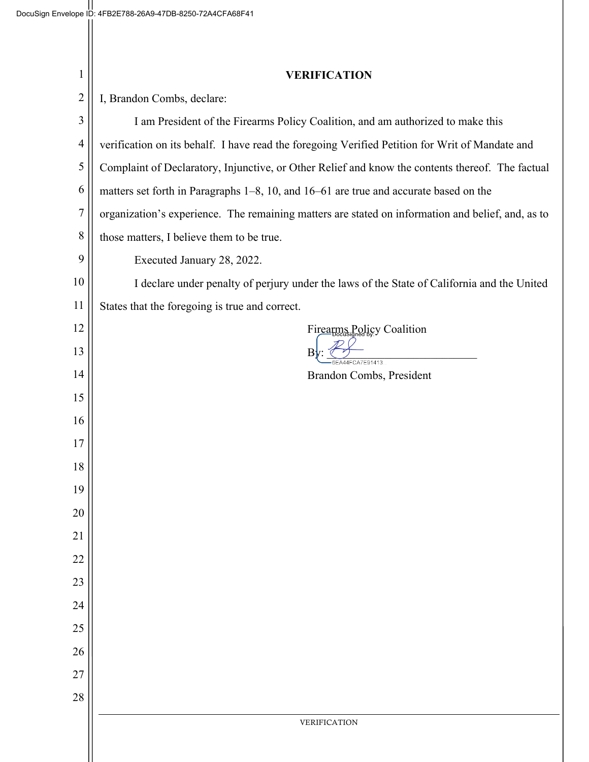| $\mathbf{1}$   | <b>VERIFICATION</b>                                                                               |
|----------------|---------------------------------------------------------------------------------------------------|
| $\overline{2}$ | I, Brandon Combs, declare:                                                                        |
| 3              | I am President of the Firearms Policy Coalition, and am authorized to make this                   |
| $\overline{4}$ | verification on its behalf. I have read the foregoing Verified Petition for Writ of Mandate and   |
| 5              | Complaint of Declaratory, Injunctive, or Other Relief and know the contents thereof. The factual  |
| 6              | matters set forth in Paragraphs 1–8, 10, and 16–61 are true and accurate based on the             |
| $\overline{7}$ | organization's experience. The remaining matters are stated on information and belief, and, as to |
| $8\,$          | those matters, I believe them to be true.                                                         |
| 9              | Executed January 28, 2022.                                                                        |
| 10             | I declare under penalty of perjury under the laws of the State of California and the United       |
| 11             | States that the foregoing is true and correct.                                                    |
| 12             | Firearms Policy Coalition                                                                         |
| 13             | B<br>6EA44FCA7E91413                                                                              |
| 14             | Brandon Combs, President                                                                          |
| 15             |                                                                                                   |
| 16             |                                                                                                   |
| 17             |                                                                                                   |
| 18             |                                                                                                   |
| 19             |                                                                                                   |
| 20             |                                                                                                   |
| 21             |                                                                                                   |
| 22             |                                                                                                   |
| 23             |                                                                                                   |
| 24             |                                                                                                   |
| 25             |                                                                                                   |
| 26<br>27       |                                                                                                   |
| 28             |                                                                                                   |
|                | VERIFICATION                                                                                      |
|                |                                                                                                   |
|                |                                                                                                   |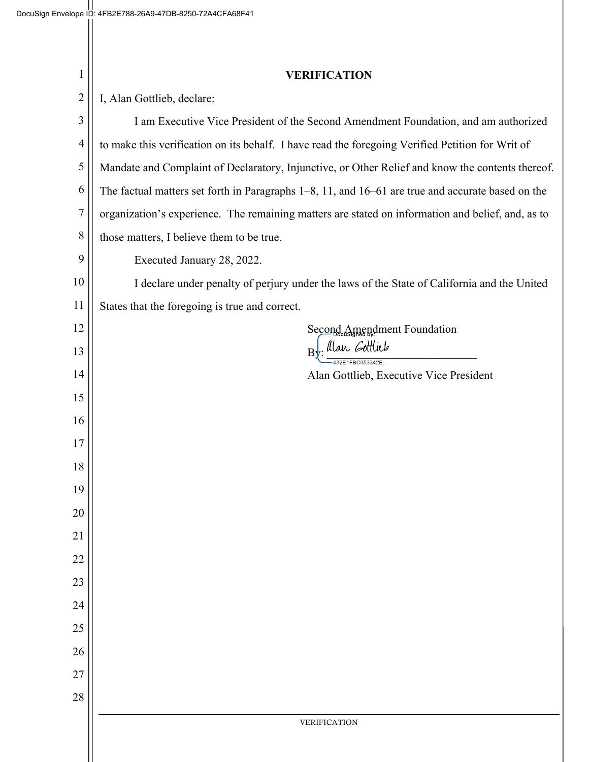| $\mathbf{1}$   | <b>VERIFICATION</b>                                                                                    |
|----------------|--------------------------------------------------------------------------------------------------------|
| $\overline{2}$ | I, Alan Gottlieb, declare:                                                                             |
| 3              | I am Executive Vice President of the Second Amendment Foundation, and am authorized                    |
| $\overline{4}$ | to make this verification on its behalf. I have read the foregoing Verified Petition for Writ of       |
| 5              | Mandate and Complaint of Declaratory, Injunctive, or Other Relief and know the contents thereof.       |
| 6              | The factual matters set forth in Paragraphs $1-8$ , 11, and $16-61$ are true and accurate based on the |
| 7              | organization's experience. The remaining matters are stated on information and belief, and, as to      |
| 8              | those matters, I believe them to be true.                                                              |
| 9              | Executed January 28, 2022.                                                                             |
| 10             | I declare under penalty of perjury under the laws of the State of California and the United            |
| 11             | States that the foregoing is true and correct.                                                         |
| 12             | Second Amendment Foundation                                                                            |
| 13             | By: Alan Gottlieb<br>32E1FBC053342E                                                                    |
| 14             | Alan Gottlieb, Executive Vice President                                                                |
| 15             |                                                                                                        |
| 16             |                                                                                                        |
| 17             |                                                                                                        |
| 18             |                                                                                                        |
| 19             |                                                                                                        |
| 20             |                                                                                                        |
| 21             |                                                                                                        |
| 22             |                                                                                                        |
| 23             |                                                                                                        |
| 24             |                                                                                                        |
| 25             |                                                                                                        |
| 26             |                                                                                                        |
| 27             |                                                                                                        |
| 28             |                                                                                                        |
|                | VERIFICATION                                                                                           |
|                |                                                                                                        |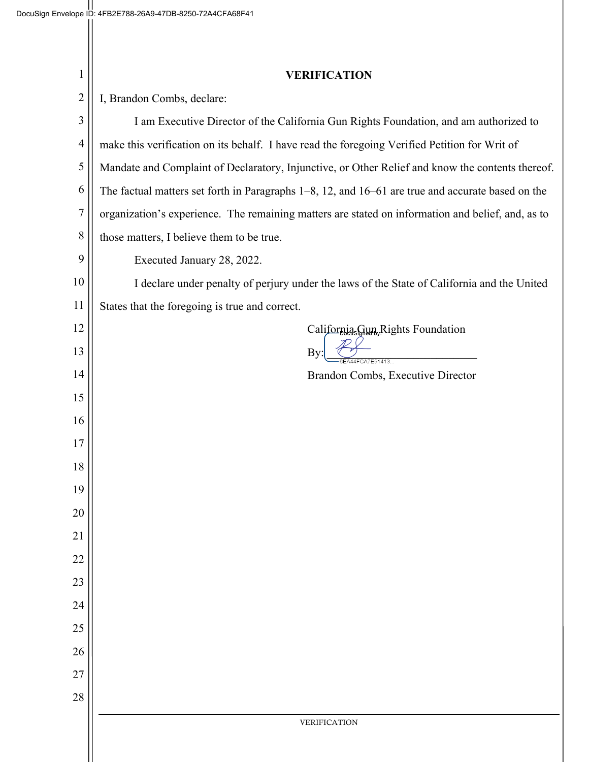| 1                | <b>VERIFICATION</b>                                                                                    |
|------------------|--------------------------------------------------------------------------------------------------------|
| $\overline{2}$   | I, Brandon Combs, declare:                                                                             |
| $\mathfrak{Z}$   | I am Executive Director of the California Gun Rights Foundation, and am authorized to                  |
| $\overline{4}$   | make this verification on its behalf. I have read the foregoing Verified Petition for Writ of          |
| 5                | Mandate and Complaint of Declaratory, Injunctive, or Other Relief and know the contents thereof.       |
| 6                | The factual matters set forth in Paragraphs $1-8$ , 12, and $16-61$ are true and accurate based on the |
| $\boldsymbol{7}$ | organization's experience. The remaining matters are stated on information and belief, and, as to      |
| 8                | those matters, I believe them to be true.                                                              |
| 9                | Executed January 28, 2022.                                                                             |
| 10               | I declare under penalty of perjury under the laws of the State of California and the United            |
| 11               | States that the foregoing is true and correct.                                                         |
| 12               | California <sub>s</sub> Gun, Rights Foundation                                                         |
| 13               | By<br>6EA44FCA7E91413                                                                                  |
| 14               | Brandon Combs, Executive Director                                                                      |
| 15               |                                                                                                        |
| 16               |                                                                                                        |
| 17               |                                                                                                        |
| 18               |                                                                                                        |
| 19               |                                                                                                        |
| 20               |                                                                                                        |
| 21               |                                                                                                        |
| 22               |                                                                                                        |
| 23               |                                                                                                        |
| 24               |                                                                                                        |
| 25               |                                                                                                        |
| 26               |                                                                                                        |
| 27               |                                                                                                        |
| 28               |                                                                                                        |
|                  | VERIFICATION                                                                                           |
|                  |                                                                                                        |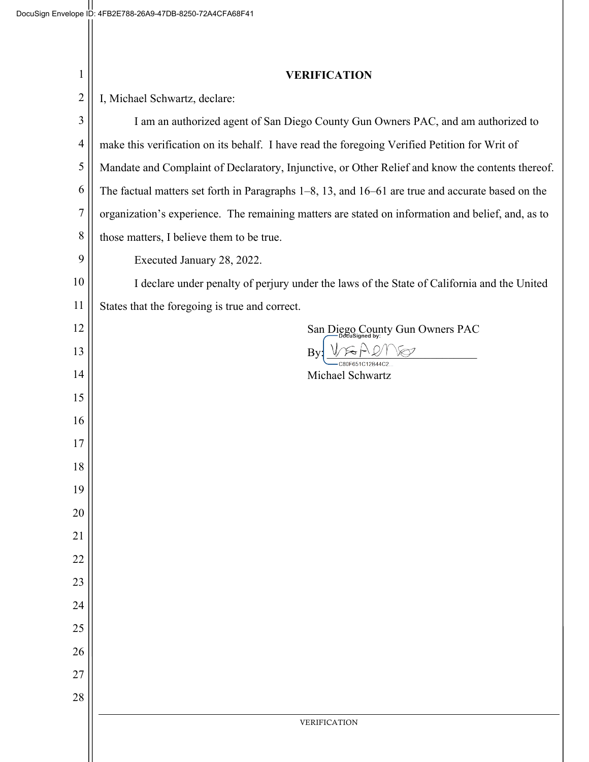| 1              | <b>VERIFICATION</b>                                                                                    |
|----------------|--------------------------------------------------------------------------------------------------------|
| $\overline{2}$ | I, Michael Schwartz, declare:                                                                          |
| $\mathfrak{Z}$ | I am an authorized agent of San Diego County Gun Owners PAC, and am authorized to                      |
| $\overline{4}$ | make this verification on its behalf. I have read the foregoing Verified Petition for Writ of          |
| 5              | Mandate and Complaint of Declaratory, Injunctive, or Other Relief and know the contents thereof.       |
| 6              | The factual matters set forth in Paragraphs $1-8$ , 13, and $16-61$ are true and accurate based on the |
| $\overline{7}$ | organization's experience. The remaining matters are stated on information and belief, and, as to      |
| 8              | those matters, I believe them to be true.                                                              |
| 9              | Executed January 28, 2022.                                                                             |
| 10             | I declare under penalty of perjury under the laws of the State of California and the United            |
| 11             | States that the foregoing is true and correct.                                                         |
| 12             | San Diego County Gun Owners PAC                                                                        |
| 13             | By                                                                                                     |
| 14             | Michael Schwartz                                                                                       |
| 15             |                                                                                                        |
| 16             |                                                                                                        |
| 17             |                                                                                                        |
| 18             |                                                                                                        |
| 19             |                                                                                                        |
| 20             |                                                                                                        |
| 21             |                                                                                                        |
| 22             |                                                                                                        |
| 23             |                                                                                                        |
| 24             |                                                                                                        |
| 25             |                                                                                                        |
| 26             |                                                                                                        |
| 27             |                                                                                                        |
| 28             |                                                                                                        |
|                | VERIFICATION                                                                                           |
|                |                                                                                                        |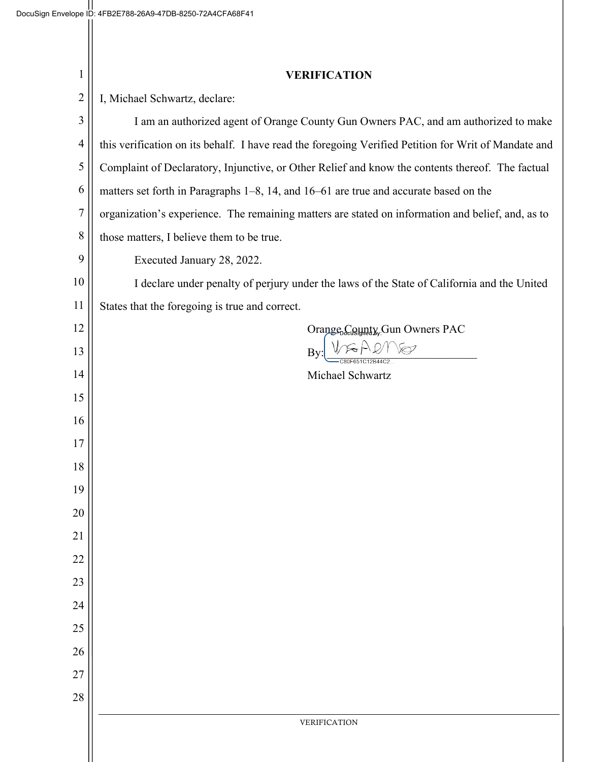| $\mathbf{1}$   | <b>VERIFICATION</b>                                                                                  |
|----------------|------------------------------------------------------------------------------------------------------|
| $\overline{2}$ | I, Michael Schwartz, declare:                                                                        |
| 3              | I am an authorized agent of Orange County Gun Owners PAC, and am authorized to make                  |
| 4              | this verification on its behalf. I have read the foregoing Verified Petition for Writ of Mandate and |
| 5              | Complaint of Declaratory, Injunctive, or Other Relief and know the contents thereof. The factual     |
| 6              | matters set forth in Paragraphs 1–8, 14, and 16–61 are true and accurate based on the                |
| $\overline{7}$ | organization's experience. The remaining matters are stated on information and belief, and, as to    |
| 8              | those matters, I believe them to be true.                                                            |
| 9              | Executed January 28, 2022.                                                                           |
| 10             | I declare under penalty of perjury under the laws of the State of California and the United          |
| 11             | States that the foregoing is true and correct.                                                       |
| 12             | Orange <sub>b</sub> County, Gun Owners PAC                                                           |
| 13             | By                                                                                                   |
| 14             | Michael Schwartz                                                                                     |
| 15             |                                                                                                      |
| 16             |                                                                                                      |
| 17             |                                                                                                      |
| 18             |                                                                                                      |
| 19             |                                                                                                      |
| 20             |                                                                                                      |
| 21             |                                                                                                      |
| 22             |                                                                                                      |
| 23             |                                                                                                      |
| 24<br>25       |                                                                                                      |
| 26             |                                                                                                      |
| 27             |                                                                                                      |
| 28             |                                                                                                      |
|                | VERIFICATION                                                                                         |
|                |                                                                                                      |
|                |                                                                                                      |